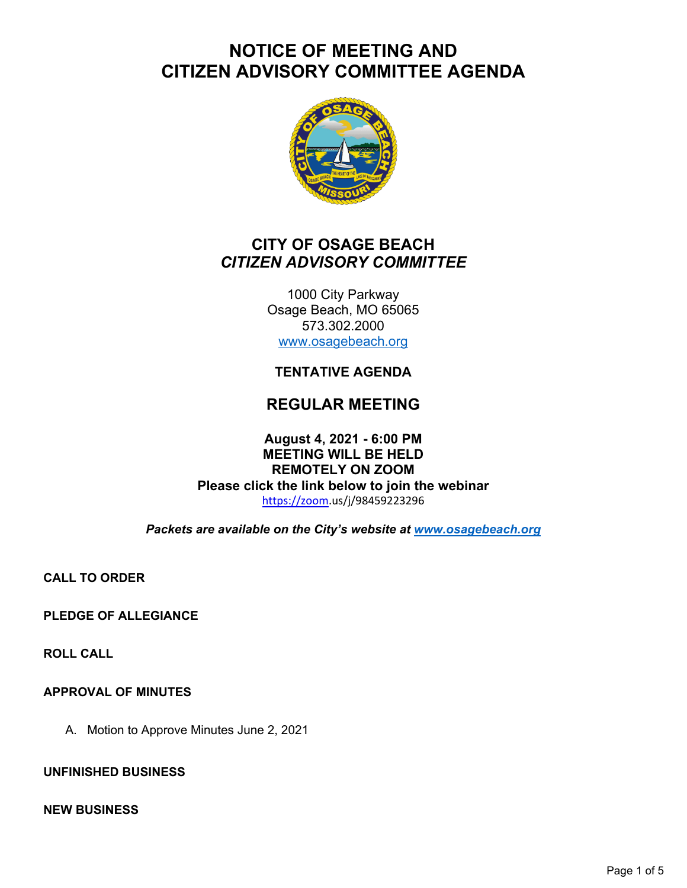# **NOTICE OF MEETING AND CITIZEN ADVISORY COMMITTEE AGENDA**



# **CITY OF OSAGE BEACH** *CITIZEN ADVISORY COMMITTEE*

1000 City Parkway Osage Beach, MO 65065 573.302.2000 [www.osagebeach.org](http://www.osagebeach.org/)

# **TENTATIVE AGENDA**

# **REGULAR MEETING**

### **August 4, 2021 - 6:00 PM MEETING WILL BE HELD REMOTELY ON ZOOM Please click the link below to join the webinar** [https://zoom](https://zoom/).us/j/98459223296

*Packets are available on the City's website at [www.osagebeach.org](http://www.osagebeach.org/)*

**CALL TO ORDER**

**PLEDGE OF ALLEGIANCE**

**ROLL CALL**

#### **APPROVAL OF MINUTES**

A. Motion to Approve Minutes June 2, 2021

#### **UNFINISHED BUSINESS**

#### **NEW BUSINESS**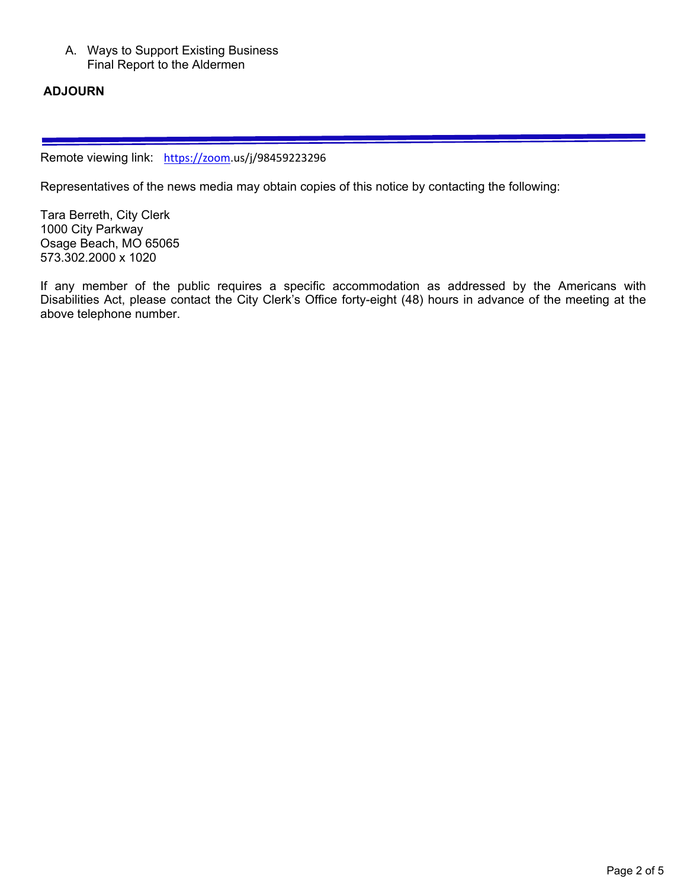A. Ways to Support Existing Business Final Report to the Aldermen

# **ADJOURN**

Remote viewing link: [https://zoom](https://zoom/).us/j/98459223296

Representatives of the news media may obtain copies of this notice by contacting the following:

Tara Berreth, City Clerk 1000 City Parkway Osage Beach, MO 65065 573.302.2000 x 1020

If any member of the public requires a specific accommodation as addressed by the Americans with Disabilities Act, please contact the City Clerk's Office forty-eight (48) hours in advance of the meeting at the above telephone number.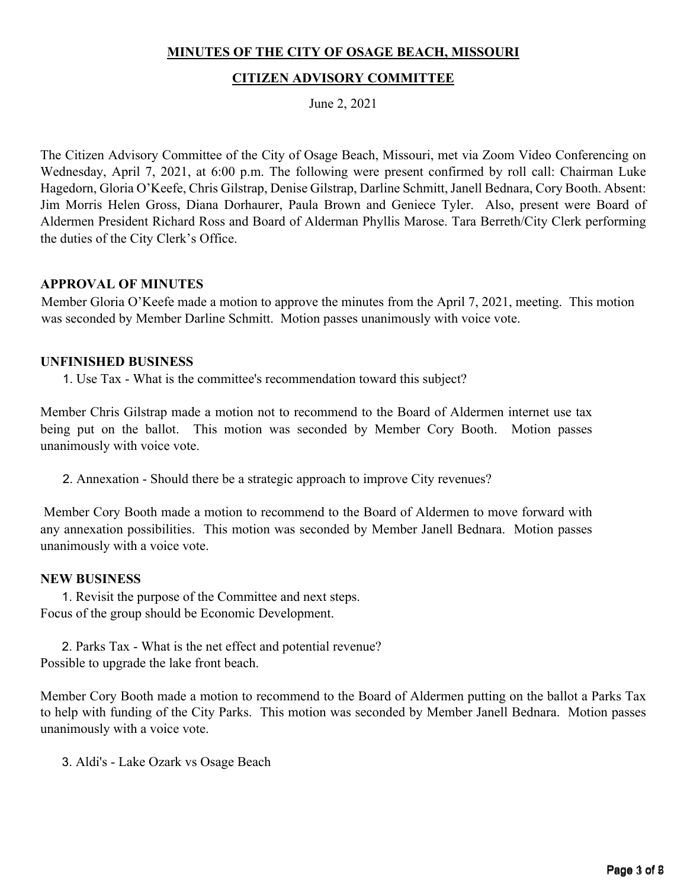# **MINUTES OF THE CITY OF OSAGE BEACH, MISSOURI**

# **CITIZEN ADVISORY COMMITTEE**

June 2, 2021

The Citizen Advisory Committee of the City of Osage Beach, Missouri, met via Zoom Video Conferencing on Wednesday, April 7, 2021, at 6:00 p.m. The following were present confirmed by roll call: Chairman Luke Hagedorn, Gloria O'Keefe, Chris Gilstrap, Denise Gilstrap, Darline Schmitt, Janell Bednara, Cory Booth. Absent: Jim Morris Helen Gross, Diana Dorhaurer, Paula Brown and Geniece Tyler. Also, present were Board of Aldermen President Richard Ross and Board of Alderman Phyllis Marose. Tara Berreth/City Clerk performing the duties of the City Clerk's Office.

#### **APPROVAL OF MINUTES**

Member Gloria O'Keefe made a motion to approve the minutes from the April 7, 2021, meeting. This motion was seconded by Member Darline Schmitt. Motion passes unanimously with voice vote.

### **UNFINISHED BUSINESS**

1. Use Tax - What is the committee's recommendation toward this subject?

Member Chris Gilstrap made a motion not to recommend to the Board of Aldermen internet use tax being put on the ballot. This motion was seconded by Member Cory Booth. Motion passes unanimously with voice vote.

2. Annexation - Should there be a strategic approach to improve City revenues?

 Member Cory Booth made a motion to recommend to the Board of Aldermen to move forward with any annexation possibilities. This motion was seconded by Member Janell Bednara. Motion passes unanimously with a voice vote.

#### **NEW BUSINESS**

1. Revisit the purpose of the Committee and next steps. Focus of the group should be Economic Development.

2. Parks Tax - What is the net effect and potential revenue? Possible to upgrade the lake front beach.

Member Cory Booth made a motion to recommend to the Board of Aldermen putting on the ballot a Parks Tax to help with funding of the City Parks. This motion was seconded by Member Janell Bednara. Motion passes unanimously with a voice vote.

3. Aldi's - Lake Ozark vs Osage Beach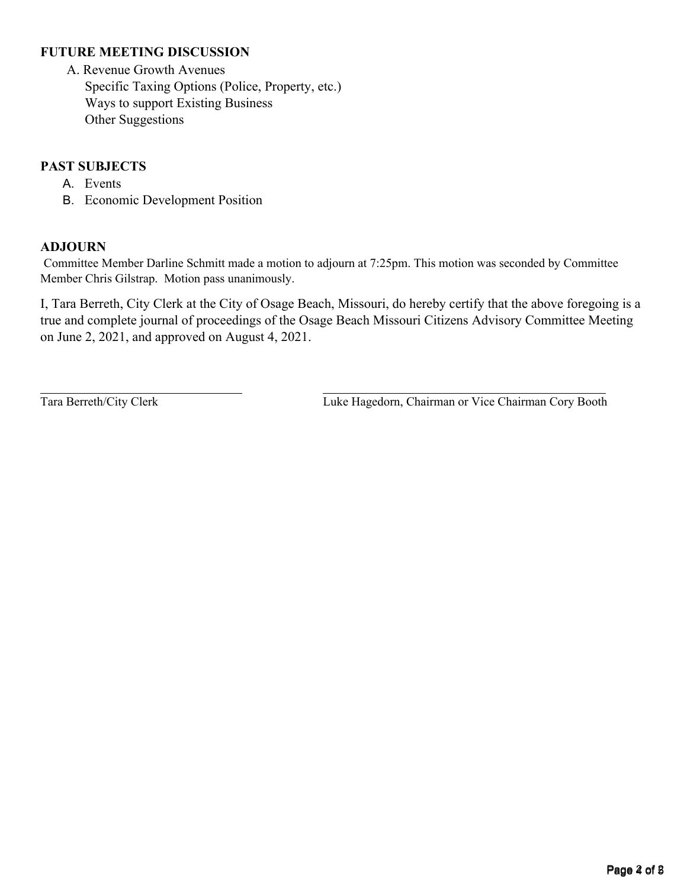## **FUTURE MEETING DISCUSSION**

A. Revenue Growth Avenues Specific Taxing Options (Police, Property, etc.) Ways to support Existing Business Other Suggestions

## **PAST SUBJECTS**

- A. Events
- B. Economic Development Position

#### **ADJOURN**

Committee Member Darline Schmitt made a motion to adjourn at 7:25pm. This motion was seconded by Committee Member Chris Gilstrap. Motion pass unanimously.

I, Tara Berreth, City Clerk at the City of Osage Beach, Missouri, do hereby certify that the above foregoing is a true and complete journal of proceedings of the Osage Beach Missouri Citizens Advisory Committee Meeting on June 2, 2021, and approved on August 4, 2021.

Tara Berreth/City Clerk Luke Hagedorn, Chairman or Vice Chairman Cory Booth